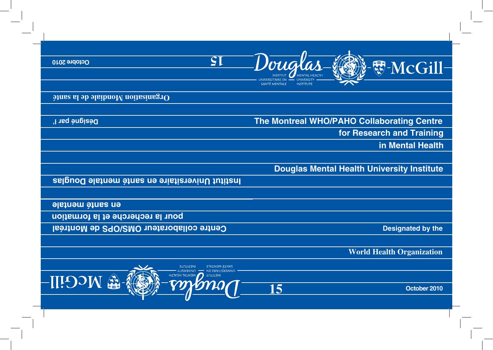

# **The Montreal WHO/PAHO Collaborating Centre for Research and Training in Mental Health**

# **Douglas Mental Health University Institute**

**Designated by the**

**World Health Organization**

**October 2010**

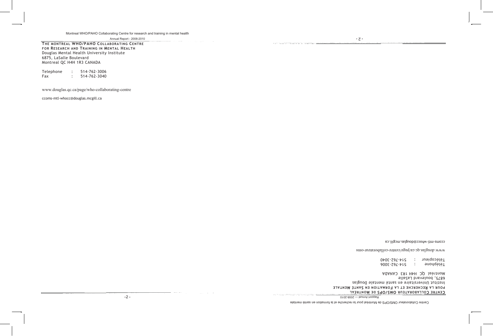**THE MONTREAL WHO/PAHO COLLABORATING CENTRE FOR RESEARCH AND TRAINING IN MENTAL HEALTH** Douglas Mental Health University Institute 6875, LaSalle Boulevard Montreal QC H4H 1R3 CANADA

| Telephone | 514-762-3006 |
|-----------|--------------|
| Fax       | 514-762-3040 |

www.douglas.qc.ca/page/who-collaborating-centre

ccoms-mtl-whocc@douglas.mcgill.ca

**15**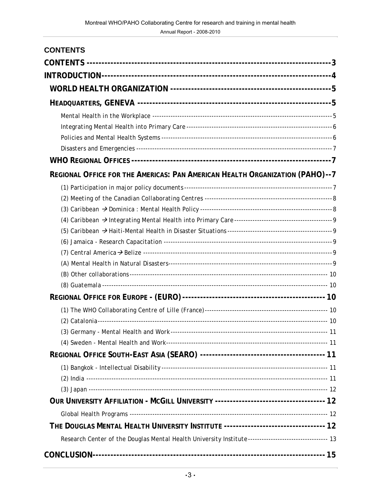| <b>CONTENTS</b>                                                                                       |  |
|-------------------------------------------------------------------------------------------------------|--|
|                                                                                                       |  |
|                                                                                                       |  |
|                                                                                                       |  |
|                                                                                                       |  |
|                                                                                                       |  |
|                                                                                                       |  |
|                                                                                                       |  |
|                                                                                                       |  |
|                                                                                                       |  |
| REGIONAL OFFICE FOR THE AMERICAS: PAN AMERICAN HEALTH ORGANIZATION (PAHO)--7                          |  |
|                                                                                                       |  |
|                                                                                                       |  |
|                                                                                                       |  |
|                                                                                                       |  |
|                                                                                                       |  |
|                                                                                                       |  |
|                                                                                                       |  |
|                                                                                                       |  |
|                                                                                                       |  |
|                                                                                                       |  |
|                                                                                                       |  |
|                                                                                                       |  |
|                                                                                                       |  |
|                                                                                                       |  |
|                                                                                                       |  |
|                                                                                                       |  |
|                                                                                                       |  |
|                                                                                                       |  |
|                                                                                                       |  |
|                                                                                                       |  |
|                                                                                                       |  |
| THE DOUGLAS MENTAL HEALTH UNIVERSITY INSTITUTE --------------------------------- 12                   |  |
| Research Center of the Douglas Mental Health University Institute--------------------------------- 13 |  |
|                                                                                                       |  |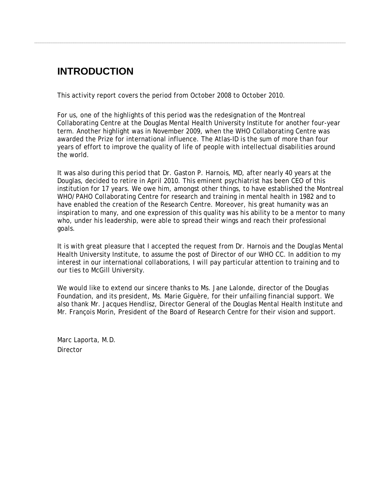## **INTRODUCTION**

This activity report covers the period from October 2008 to October 2010.

For us, one of the highlights of this period was the redesignation of the Montreal Collaborating Centre at the Douglas Mental Health University Institute for another four-year term. Another highlight was in November 2009, when the WHO Collaborating Centre was awarded the Prize for international influence. The Atlas-ID is the sum of more than four years of effort to improve the quality of life of people with intellectual disabilities around the world.

It was also during this period that Dr. Gaston P. Harnois, MD, after nearly 40 years at the Douglas, decided to retire in April 2010. This eminent psychiatrist has been CEO of this institution for 17 years. We owe him, amongst other things, to have established the Montreal WHO/PAHO Collaborating Centre for research and training in mental health in 1982 and to have enabled the creation of the Research Centre. Moreover, his great humanity was an inspiration to many, and one expression of this quality was his ability to be a mentor to many who, under his leadership, were able to spread their wings and reach their professional goals.

It is with great pleasure that I accepted the request from Dr. Harnois and the Douglas Mental Health University Institute, to assume the post of Director of our WHO CC. In addition to my interest in our international collaborations, I will pay particular attention to training and to our ties to McGill University.

We would like to extend our sincere thanks to Ms. Jane Lalonde, director of the Douglas Foundation, and its president, Ms. Marie Giguère, for their unfailing financial support. We also thank Mr. Jacques Hendlisz, Director General of the Douglas Mental Health Institute and Mr. François Morin, President of the Board of Research Centre for their vision and support.

Marc Laporta, M.D. Director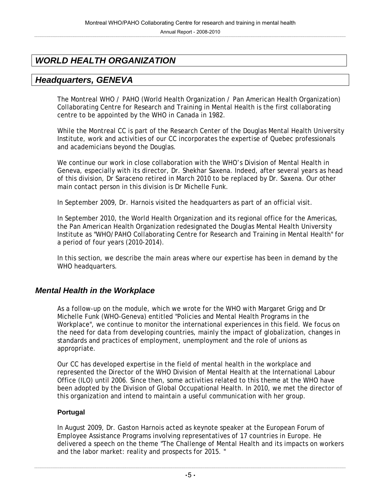## *WORLD HEALTH ORGANIZATION*

## *Headquarters, GENEVA*

The Montreal WHO / PAHO (World Health Organization / Pan American Health Organization) Collaborating Centre for Research and Training in Mental Health is the first collaborating centre to be appointed by the WHO in Canada in 1982.

While the Montreal CC is part of the Research Center of the Douglas Mental Health University Institute, work and activities of our CC incorporates the expertise of Quebec professionals and academicians beyond the Douglas.

We continue our work in close collaboration with the WHO's Division of Mental Health in Geneva, especially with its director, Dr. Shekhar Saxena. Indeed, after several years as head of this division, Dr Saraceno retired in March 2010 to be replaced by Dr. Saxena. Our other main contact person in this division is Dr Michelle Funk.

In September 2009, Dr. Harnois visited the headquarters as part of an official visit.

In September 2010, the World Health Organization and its regional office for the Americas, the Pan American Health Organization redesignated the Douglas Mental Health University Institute as "WHO/PAHO Collaborating Centre for Research and Training in Mental Health" for a period of four years (2010-2014).

In this section, we describe the main areas where our expertise has been in demand by the WHO headquarters.

### *Mental Health in the Workplace*

As a follow-up on the module, which we wrote for the WHO with Margaret Grigg and Dr Michelle Funk (WHO-Geneva) entitled "Policies and Mental Health Programs in the Workplace", we continue to monitor the international experiences in this field. We focus on the need for data from developing countries, mainly the impact of globalization, changes in standards and practices of employment, unemployment and the role of unions as appropriate.

Our CC has developed expertise in the field of mental health in the workplace and represented the Director of the WHO Division of Mental Health at the International Labour Office (ILO) until 2006. Since then, some activities related to this theme at the WHO have been adopted by the Division of Global Occupational Health. In 2010, we met the director of this organization and intend to maintain a useful communication with her group.

#### **Portugal**

In August 2009, Dr. Gaston Harnois acted as keynote speaker at the European Forum of Employee Assistance Programs involving representatives of 17 countries in Europe. He delivered a speech on the theme "The Challenge of Mental Health and its impacts on workers and the labor market: reality and prospects for 2015. "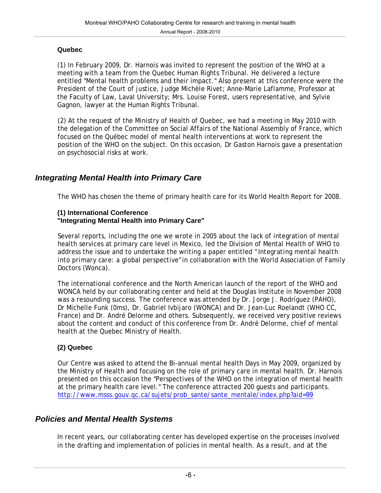#### **Quebec**

(1) In February 2009, Dr. Harnois was invited to represent the position of the WHO at a meeting with a team from the Quebec Human Rights Tribunal. He delivered a lecture entitled "Mental health problems and their impact." Also present at this conference were the President of the Court of justice, Judge Michèle Rivet; Anne-Marie Laflamme, Professor at the Faculty of Law, Laval University; Mrs. Louise Forest, users representative, and Sylvie Gagnon, lawyer at the Human Rights Tribunal.

(2) At the request of the Ministry of Health of Quebec, we had a meeting in May 2010 with the delegation of the Committee on Social Affairs of the National Assembly of France, which focused on the Québec model of mental health interventions at work to represent the position of the WHO on the subject. On this occasion, Dr Gaston Harnois gave a presentation on psychosocial risks at work.

### *Integrating Mental Health into Primary Care*

The WHO has chosen the theme of primary health care for its World Health Report for 2008.

#### **(1) International Conference "Integrating Mental Health into Primary Care"**

Several reports, including the one we wrote in 2005 about the lack of integration of mental health services at primary care level in Mexico, led the Division of Mental Health of WHO to address the issue and to undertake the writing a paper entitled "*Integrating mental health into primary care: a global perspective"*in collaboration with the World Association of Family Doctors (Wonca).

The international conference and the North American launch of the report of the WHO and WONCA held by our collaborating center and held at the Douglas Institute in November 2008 was a resounding success. The conference was attended by Dr. Jorge J. Rodríguez (PAHO), Dr Michelle Funk (0ms), Dr. Gabriel Ivbijaro (WONCA) and Dr. Jean-Luc Roelandt (WHO CC, France) and Dr. André Delorme and others. Subsequently, we received very positive reviews about the content and conduct of this conference from Dr. André Delorme, chief of mental health at the Quebec Ministry of Health.

#### **(2) Quebec**

Our Centre was asked to attend the Bi-annual mental health Days in May 2009, organized by the Ministry of Health and focusing on the role of primary care in mental health. Dr. Harnois presented on this occasion the "Perspectives of the WHO on the integration of mental health at the primary health care level." The conference attracted 200 guests and participants. http://www.msss.gouv.qc.ca/sujets/prob\_sante/sante\_mentale/index.php?aid=99

### *Policies and Mental Health Systems*

In recent years, our collaborating center has developed expertise on the processes involved in the drafting and implementation of policies in mental health. As a result, and at the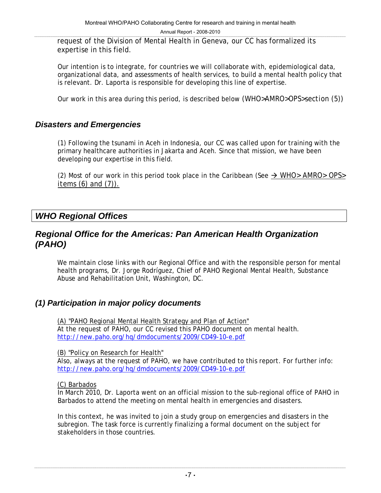request of the Division of Mental Health in Geneva, our CC has formalized its expertise in this field.

Our intention is to integrate, for countries we will collaborate with, epidemiological data, organizational data, and assessments of health services, to build a mental health policy that is relevant. Dr. Laporta is responsible for developing this line of expertise.

Our work in this area during this period, is described below *(WHO>AMRO>OPS>section (5))* 

#### *Disasters and Emergencies*

(1) Following the tsunami in Aceh in Indonesia, our CC was called upon for training with the primary healthcare authorities in Jakarta and Aceh. Since that mission, we have been developing our expertise in this field.

(2) Most of our work in this period took place in the Caribbean (See  $\rightarrow$  *WHO> AMRO> OPS> items (6) and (7)).*

### *WHO Regional Offices*

### *Regional Office for the Americas: Pan American Health Organization (PAHO)*

We maintain close links with our Regional Office and with the responsible person for mental health programs, Dr. Jorge Rodríguez, Chief of PAHO Regional Mental Health, Substance Abuse and Rehabilitation Unit, Washington, DC.

#### *(1) Participation in major policy documents*

(A) "PAHO Regional Mental Health Strategy and Plan of Action" At the request of PAHO, our CC revised this PAHO document on mental health. http://new.paho.org/hq/dmdocuments/2009/CD49-10-e.pdf

(B) "Policy on Research for Health"

Also, always at the request of PAHO, we have contributed to this report. For further info: http://new.paho.org/hq/dmdocuments/2009/CD49-10-e.pdf

#### (C) Barbados

In March 2010, Dr. Laporta went on an official mission to the sub-regional office of PAHO in Barbados to attend the meeting on mental health in emergencies and disasters.

In this context, he was invited to join a study group on emergencies and disasters in the subregion. The task force is currently finalizing a formal document on the subject for stakeholders in those countries.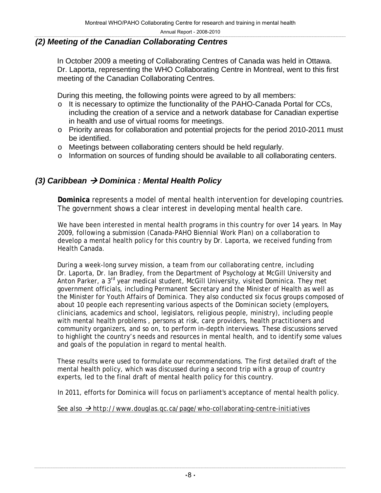#### *(2) Meeting of the Canadian Collaborating Centres*

In October 2009 a meeting of Collaborating Centres of Canada was held in Ottawa. Dr. Laporta, representing the WHO Collaborating Centre in Montreal, went to this first meeting of the Canadian Collaborating Centres.

During this meeting, the following points were agreed to by all members:

- o It is necessary to optimize the functionality of the PAHO-Canada Portal for CCs, including the creation of a service and a network database for Canadian expertise in health and use of virtual rooms for meetings.
- o Priority areas for collaboration and potential projects for the period 2010-2011 must be identified.
- o Meetings between collaborating centers should be held regularly.
- o Information on sources of funding should be available to all collaborating centers.

#### *(3) Caribbean → Dominica : Mental Health Policy*

**Dominica** represents a model of mental health intervention for developing countries. The government shows a clear interest in developing mental health care.

We have been interested in mental health programs in this country for over 14 years. In May 2009, following a submission (Canada-PAHO Biennial Work Plan) on a collaboration to develop a mental health policy for this country by Dr. Laporta, we received funding from Health Canada.

During a week-long survey mission, a team from our collaborating centre, including Dr. Laporta, Dr. Ian Bradley, from the Department of Psychology at McGill University and Anton Parker, a 3<sup>rd</sup> year medical student, McGill University, visited Dominica. They met government officials, including Permanent Secretary and the Minister of Health as well as the Minister for Youth Affairs of Dominica. They also conducted six focus groups composed of about 10 people each representing various aspects of the Dominican society (employers, clinicians, academics and school, legislators, religious people, ministry), including people with mental health problems , persons at risk, care providers, health practitioners and community organizers, and so on, to perform in-depth interviews. These discussions served to highlight the country's needs and resources in mental health, and to identify some values and goals of the population in regard to mental health.

These results were used to formulate our recommendations. The first detailed draft of the mental health policy, which was discussed during a second trip with a group of country experts, led to the final draft of mental health policy for this country.

In 2011, efforts for Dominica will focus on parliament's acceptance of mental health policy.

*See also* Æ *http://www.douglas.qc.ca/page/who-collaborating-centre-initiatives*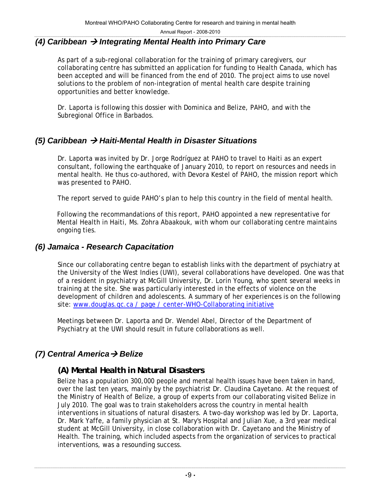#### *(4) Caribbean → Integrating Mental Health into Primary Care*

As part of a sub-regional collaboration for the training of primary caregivers, our collaborating centre has submitted an application for funding to Health Canada, which has been accepted and will be financed from the end of 2010. The project aims to use novel solutions to the problem of non-integration of mental health care despite training opportunities and better knowledge.

Dr. Laporta is following this dossier with Dominica and Belize, PAHO, and with the Subregional Office in Barbados.

### *(5) Caribbean → Haiti-Mental Health in Disaster Situations*

Dr. Laporta was invited by Dr. Jorge Rodríguez at PAHO to travel to Haiti as an expert consultant, following the earthquake of January 2010, to report on resources and needs in mental health. He thus co-authored, with Devora Kestel of PAHO, the mission report which was presented to PAHO.

The report served to guide PAHO's plan to help this country in the field of mental health.

Following the recommandations of this report, PAHO appointed a new representative for Mental Health in Haiti, Ms. Zohra Abaakouk, with whom our collaborating centre maintains ongoing ties.

#### *(6) Jamaica - Research Capacitation*

Since our collaborating centre began to establish links with the department of psychiatry at the University of the West Indies (UWI), several collaborations have developed. One was that of a resident in psychiatry at McGill University, Dr. Lorin Young, who spent several weeks in training at the site. She was particularly interested in the effects of violence on the development of children and adolescents. A summary of her experiences is on the following site: www.douglas.qc.ca / page / center-WHO-Collaborating initiative

Meetings between Dr. Laporta and Dr. Wendel Abel, Director of the Department of Psychiatry at the UWI should result in future collaborations as well.

### *(7)* Central America → Belize

#### *(A) Mental Health in Natural Disasters*

Belize has a population 300,000 people and mental health issues have been taken in hand, over the last ten years, mainly by the psychiatrist Dr. Claudina Cayetano. At the request of the Ministry of Health of Belize, a group of experts from our collaborating visited Belize in July 2010. The goal was to train stakeholders across the country in mental health interventions in situations of natural disasters. A two-day workshop was led by Dr. Laporta, Dr. Mark Yaffe, a family physician at St. Mary's Hospital and Julian Xue, a 3rd year medical student at McGill University, in close collaboration with Dr. Cayetano and the Ministry of Health. The training, which included aspects from the organization of services to practical interventions, was a resounding success.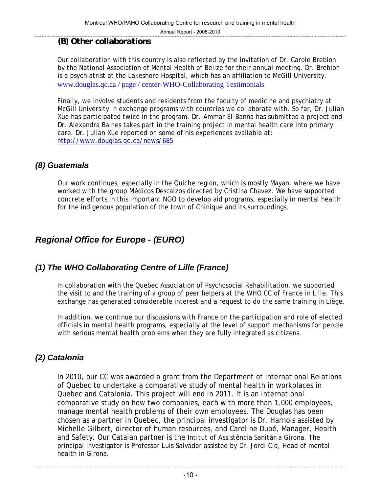#### *(B) Other collaborations*

Our collaboration with this country is also reflected by the invitation of Dr. Carole Brebion by the National Association of Mental Health of Belize for their annual meeting. Dr. Brebion is a psychiatrist at the Lakeshore Hospital, which has an affiliation to McGill University. www.douglas.qc.ca / page / center-WHO-Collaborating Testimonials

Finally, we involve students and residents from the faculty of medicine and psychiatry at McGill University in exchange programs with countries we collaborate with. So far, Dr. Julian Xue has participated twice in the program. Dr. Ammar El-Banna has submitted a project and Dr. Alexandra Baines takes part in the training project in mental health care into primary care. Dr. Julian Xue reported on some of his experiences available at: http://www.douglas.qc.ca/news/685

### *(8) Guatemala*

Our work continues, especially in the Quiche region, which is mostly Mayan, where we have worked with the group *Médicos Descalzos* directed by Cristina Chavez. We have supported concrete efforts in this important NGO to develop aid programs, especially in mental health for the indigenous population of the town of Chinique and its surroundings.

## *Regional Office for Europe - (EURO)*

### *(1) The WHO Collaborating Centre of Lille (France)*

In collaboration with the Quebec Association of Psychosocial Rehabilitation, we supported the visit to and the training of a group of peer helpers at the WHO CC of France in Lille. This exchange has generated considerable interest and a request to do the same training in Liège.

In addition, we continue our discussions with France on the participation and role of elected officials in mental health programs, especially at the level of support mechanisms for people with serious mental health problems when they are fully integrated as citizens.

## *(2) Catalonia*

In 2010, our CC was awarded a grant from the Department of International Relations of Quebec to undertake a comparative study of mental health in workplaces in Quebec and Catalonia. This project will end in 2011. It is an international comparative study on how two companies, each with more than 1,000 employees, manage mental health problems of their own employees. The Douglas has been chosen as a partner in Quebec, the principal investigator is Dr. Harnois assisted by Michelle Gilbert, director of human resources, and Caroline Dubé, Manager, Health and Safety. Our Catalan partner is the *Intitut of Assistência Sanitària* Girona. The principal investigator is Professor Luis Salvador assisted by Dr. Jordi Cid, Head of mental health in Girona.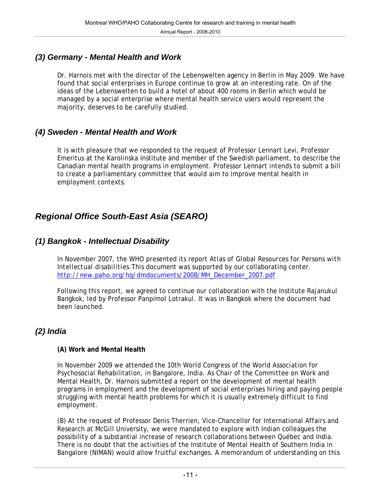## *(3) Germany - Mental Health and Work*

Dr. Harnois met with the director of the Lebenswelten agency in Berlin in May 2009. We have found that social enterprises in Europe continue to grow at an interesting rate. On of the ideas of the Lebenswelten to build a hotel of about 400 rooms in Berlin which would be managed by a social enterprise where mental health service users would represent the majority, deserves to be carefully studied.

#### *(4) Sweden - Mental Health and Work*

It is with pleasure that we responded to the request of Professor Lennart Levi, Professor Emeritus at the Karolinska Institute and member of the Swedish parliament, to describe the Canadian mental health programs in employment. Professor Lennart intends to submit a bill to create a parliamentary committee that would aim to improve mental health in employment contexts.

## *Regional Office South-East Asia (SEARO)*

### *(1) Bangkok - Intellectual Disability*

In November 2007, the WHO presented its report *Atlas of Global Resources for Persons with Intellectual disabilities*.This document was supported by our collaborating center. http://new.paho.org/hq/dmdocuments/2008/MH\_December\_2007.pdf

Following this report, we agreed to continue our collaboration with the Institute Rajanukul Bangkok, led by Professor Panpimol Lotrakul. It was in Bangkok where the document had been launched.

### *(2) India*

#### **(A) Work and Mental Health**

In November 2009 we attended the 10th World Congress of the World Association for Psychosocial Rehabilitation, in Bangalore, India. As Chair of the Committee on Work and Mental Health, Dr. Harnois submitted a report on the development of mental health programs in employment and the development of social enterprises hiring and paying people struggling with mental health problems for which it is usually extremely difficult to find employment.

(B) At the request of Professor Denis Therrien, Vice-Chancellor for International Affairs and Research at McGill University, we were mandated to explore with Indian colleagues the possibility of a substantial increase of research collaborations between Québec and India. There is no doubt that the activities of the Institute of Mental Health of Southern India in Bangalore (NIMAN) would allow fruitful exchanges. A memorandum of understanding on this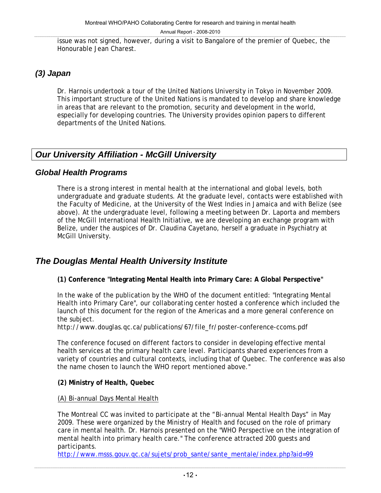issue was not signed, however, during a visit to Bangalore of the premier of Quebec, the Honourable Jean Charest.

## *(3) Japan*

Dr. Harnois undertook a tour of the United Nations University in Tokyo in November 2009. This important structure of the United Nations is mandated to develop and share knowledge in areas that are relevant to the promotion, security and development in the world, especially for developing countries. The University provides opinion papers to different departments of the United Nations.

## *Our University Affiliation - McGill University*

#### *Global Health Programs*

There is a strong interest in mental health at the international and global levels, both undergraduate and graduate students. At the graduate level, contacts were established with the Faculty of Medicine, at the University of the West Indies in Jamaica and with Belize (see above). At the undergraduate level, following a meeting between Dr. Laporta and members of the McGill International Health Initiative, we are developing an exchange program with Belize, under the auspices of Dr. Claudina Cayetano, herself a graduate in Psychiatry at McGill University.

## *The Douglas Mental Health University Institute*

**(1) Conference "Integrating Mental Health into Primary Care: A Global Perspective"** 

In the wake of the publication by the WHO of the document entitled: "Integrating Mental Health into Primary Care", our collaborating center hosted a conference which included the launch of this document for the region of the Americas and a more general conference on the subject.

http://www.douglas.qc.ca/publications/67/file\_fr/poster-conference-ccoms.pdf

The conference focused on different factors to consider in developing effective mental health services at the primary health care level. Participants shared experiences from a variety of countries and cultural contexts, including that of Quebec. The conference was also the name chosen to launch the WHO report mentioned above."

#### **(2) Ministry of Health, Quebec**

(A) Bi-annual Days Mental Health

The Montreal CC was invited to participate at the "Bi-annual Mental Health Days" in May 2009. These were organized by the Ministry of Health and focused on the role of primary care in mental health. Dr. Harnois presented on the "WHO Perspective on the integration of mental health into primary health care." The conference attracted 200 guests and participants.

http://www.msss.gouv.qc.ca/sujets/prob\_sante/sante\_mentale/index.php?aid=99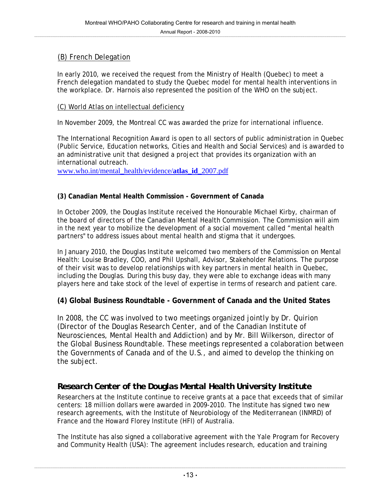#### (B) French Delegation

In early 2010, we received the request from the Ministry of Health (Quebec) to meet a French delegation mandated to study the Quebec model for mental health interventions in the workplace. Dr. Harnois also represented the position of the WHO on the subject.

#### (C) World Atlas on intellectual deficiency

In November 2009, the Montreal CC was awarded the prize for international influence.

The International Recognition Award is open to all sectors of public administration in Quebec (Public Service, Education networks, Cities and Health and Social Services) and is awarded to an administrative unit that designed a project that provides its organization with an international outreach.

www.who.int/mental\_health/evidence/**atlas**\_**id**\_2007.pdf

#### **(3) Canadian Mental Health Commission - Government of Canada**

In October 2009, the Douglas Institute received the Honourable Michael Kirby, chairman of the board of directors of the Canadian Mental Health Commission. The Commission will aim in the next year to mobilize the development of a social movement called "mental health partners" to address issues about mental health and stigma that it undergoes.

In January 2010, the Douglas Institute welcomed two members of the Commission on Mental Health: Louise Bradley, COO, and Phil Upshall, Advisor, Stakeholder Relations. The purpose of their visit was to develop relationships with key partners in mental health in Quebec, including the Douglas. During this busy day, they were able to exchange ideas with many players here and take stock of the level of expertise in terms of research and patient care.

#### **(4) Global Business Roundtable - Government of Canada and the United States**

In 2008, the CC was involved to two meetings organized jointly by Dr. Quirion (Director of the Douglas Research Center, and of the Canadian Institute of Neurosciences, Mental Health and Addiction) and by Mr. Bill Wilkerson, director of the Global Business Roundtable. These meetings represented a colaboration between the Governments of Canada and of the U.S., and aimed to develop the thinking on the subject.

### *Research Center of the Douglas Mental Health University Institute*

Researchers at the Institute continue to receive grants at a pace that exceeds that of similar centers: 18 million dollars were awarded in 2009-2010. The Institute has signed two new research agreements, with the Institute of Neurobiology of the Mediterranean (INMRD) of France and the Howard Florey Institute (HFI) of Australia.

The Institute has also signed a collaborative agreement with the Yale Program for Recovery and Community Health (USA): The agreement includes research, education and training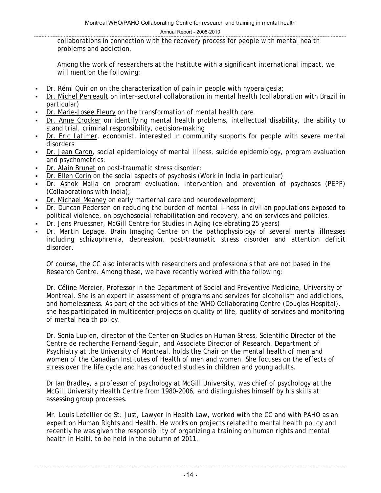collaborations in connection with the recovery process for people with mental health problems and addiction.

Among the work of researchers at the Institute with a significant international impact, we will mention the following:

- Dr. Rémi Quirion on the characterization of pain in people with hyperalgesia;
- Dr. Michel Perreault on inter-sectoral collaboration in mental health (collaboration with Brazil in particular)
- Dr. Marie-Josée Fleury on the transformation of mental health care
- Dr. Anne Crocker on identifying mental health problems, intellectual disability, the ability to stand trial, criminal responsibility, decision-making
- Dr. Eric Latimer, economist, interested in community supports for people with severe mental disorders
- Dr. Jean Caron, social epidemiology of mental illness, suicide epidemiology, program evaluation and psychometrics.
- Dr. Alain Brunet on post-traumatic stress disorder;
- Dr. Ellen Corin on the social aspects of psychosis (Work in India in particular)
- Dr. Ashok Malla on program evaluation, intervention and prevention of psychoses (PEPP) (Collaborations with India);
- Dr. Michael Meaney on early marternal care and neurodevelopment;
- Dr. Duncan Pedersen on reducing the burden of mental illness in civilian populations exposed to political violence, on psychosocial rehabilitation and recovery, and on services and policies.
- Dr. Jens Pruessner, McGill Centre for Studies in Aging (celebrating 25 years)
- Dr. Martin Lepage, Brain Imaging Centre on the pathophysiology of several mental illnesses including schizophrenia, depression, post-traumatic stress disorder and attention deficit disorder.

Of course, the CC also interacts with researchers and professionals that are not based in the Research Centre. Among these, we have recently worked with the following:

Dr. Céline Mercier, Professor in the Department of Social and Preventive Medicine, University of Montreal. She is an expert in assessment of programs and services for alcoholism and addictions, and homelessness. As part of the activities of the WHO Collaborating Centre (Douglas Hospital), she has participated in multicenter projects on quality of life, quality of services and monitoring of mental health policy.

Dr. Sonia Lupien, director of the Center on Studies on Human Stress, Scientific Director of the Centre de recherche Fernand-Seguin, and Associate Director of Research, Department of Psychiatry at the University of Montreal, holds the Chair on the mental health of men and women of the Canadian Institutes of Health of men and women. She focuses on the effects of stress over the life cycle and has conducted studies in children and young adults.

Dr Ian Bradley, a professor of psychology at McGill University, was chief of psychology at the McGill University Health Centre from 1980-2006, and distinguishes himself by his skills at assessing group processes.

Mr. Louis Letellier de St. Just, Lawyer in Health Law, worked with the CC and with PAHO as an expert on Human Rights and Health. He works on projects related to mental health policy and recently he was given the responsibility of organizing a training on human rights and mental health in Haiti, to be held in the autumn of 2011.